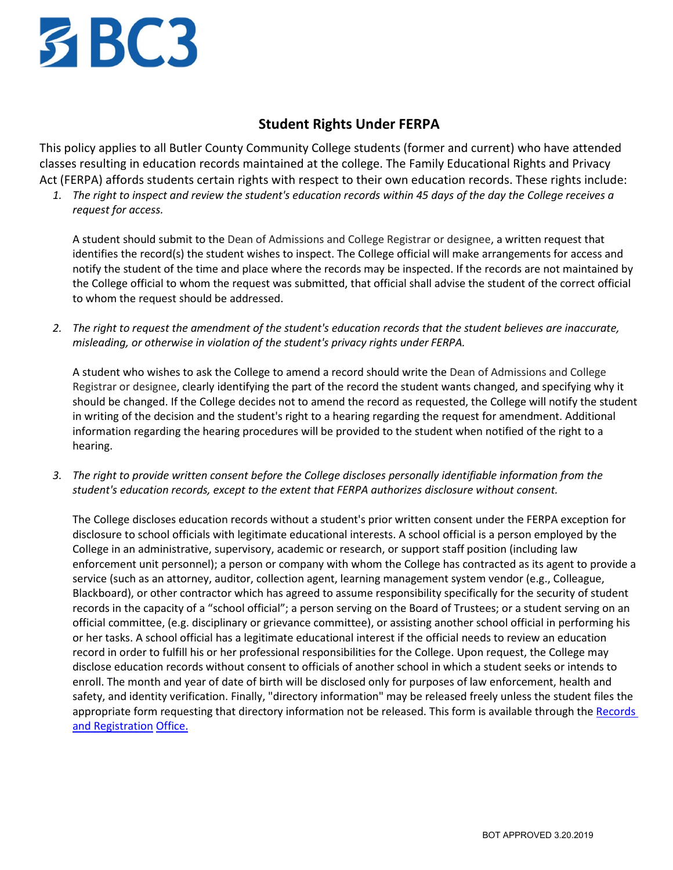

## **Student Rights Under FERPA**

This policy applies to all Butler County Community College students (former and current) who have attended classes resulting in education records maintained at the college. The Family Educational Rights and Privacy Act (FERPA) affords students certain rights with respect to their own education records. These rights include:

*1. The right to inspect and review the student's education records within 45 days of the day the College receives a request for access.*

A student should submit to the Dean of Admissions and College Registrar or designee, a written request that identifies the record(s) the student wishes to inspect. The College official will make arrangements for access and notify the student of the time and place where the records may be inspected. If the records are not maintained by the College official to whom the request was submitted, that official shall advise the student of the correct official to whom the request should be addressed.

*2. The right to request the amendment of the student's education records that the student believes are inaccurate, misleading, or otherwise in violation of the student's privacy rights under FERPA.*

A student who wishes to ask the College to amend a record should write the Dean of Admissions and College Registrar or designee, clearly identifying the part of the record the student wants changed, and specifying why it should be changed. If the College decides not to amend the record as requested, the College will notify the student in writing of the decision and the student's right to a hearing regarding the request for amendment. Additional information regarding the hearing procedures will be provided to the student when notified of the right to a hearing.

*3. The right to provide written consent before the College discloses personally identifiable information from the student's education records, except to the extent that FERPA authorizes disclosure without consent.*

The College discloses education records without a student's prior written consent under the FERPA exception for disclosure to school officials with legitimate educational interests. A school official is a person employed by the College in an administrative, supervisory, academic or research, or support staff position (including law enforcement unit personnel); a person or company with whom the College has contracted as its agent to provide a service (such as an attorney, auditor, collection agent, learning management system vendor (e.g., Colleague, Blackboard), or other contractor which has agreed to assume responsibility specifically for the security of student records in the capacity of a "school official"; a person serving on the Board of Trustees; or a student serving on an official committee, (e.g. disciplinary or grievance committee), or assisting another school official in performing his or her tasks. A school official has a legitimate educational interest if the official needs to review an education record in order to fulfill his or her professional responsibilities for the College. Upon request, the College may disclose education records without consent to officials of another school in which a student seeks or intends to enroll. The month and year of date of birth will be disclosed only for purposes of law enforcement, health and safety, and identity verification. Finally, "directory information" may be released freely unless the student files the appropriate form requesting that directory information not be released. This form is available through the Records and Registration Office.